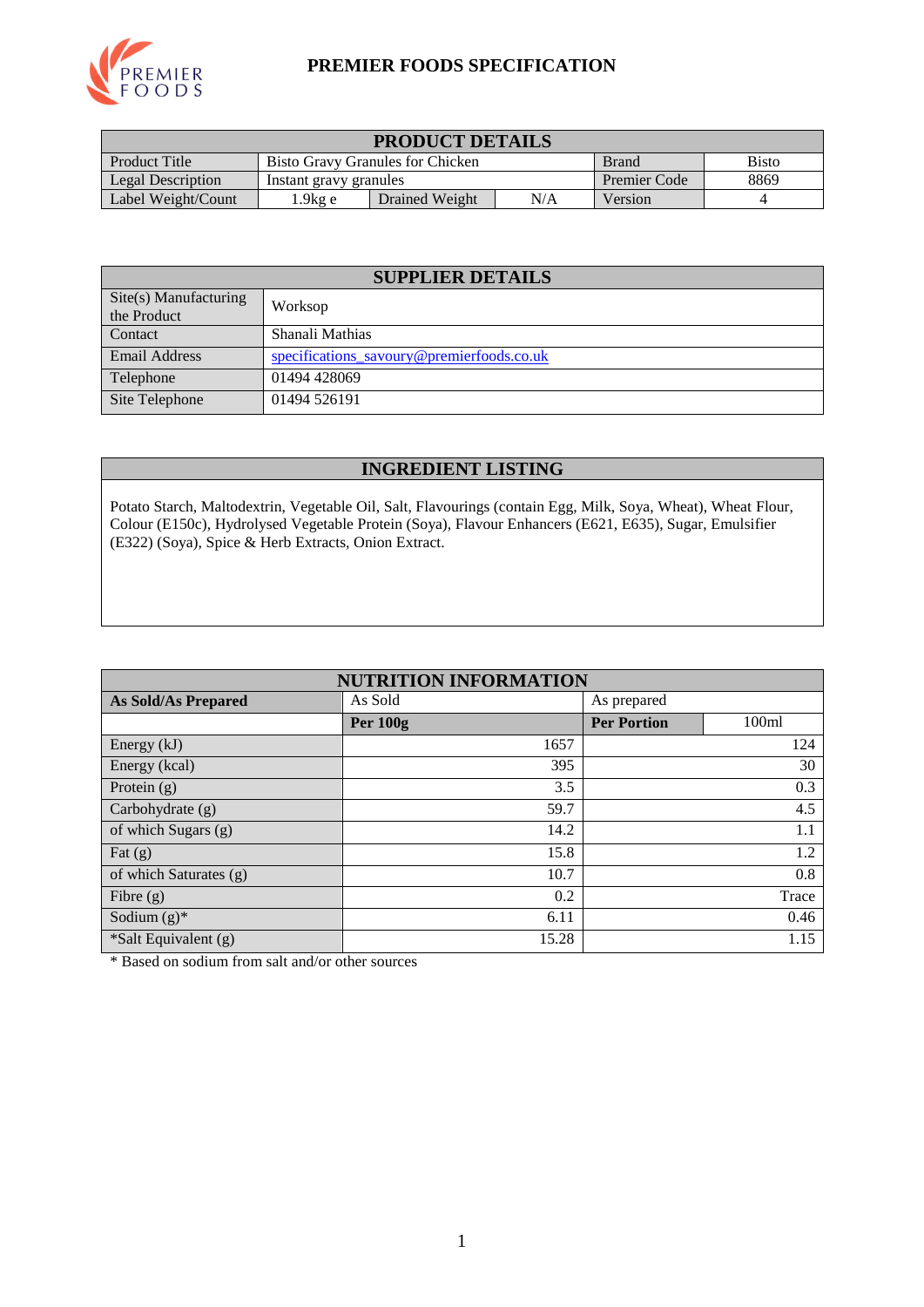

### **PREMIER FOODS SPECIFICATION**

| <b>PRODUCT DETAILS</b>                                                                   |                        |         |              |      |  |
|------------------------------------------------------------------------------------------|------------------------|---------|--------------|------|--|
| Product Title<br><b>Bisto</b><br><b>Bisto Gravy Granules for Chicken</b><br><b>Brand</b> |                        |         |              |      |  |
| Legal Description                                                                        | Instant gravy granules |         | Premier Code | 8869 |  |
| Label Weight/Count                                                                       | . .9kg e               | Version |              |      |  |

| <b>SUPPLIER DETAILS</b>                       |                                           |  |  |  |
|-----------------------------------------------|-------------------------------------------|--|--|--|
| $\text{Site}(s)$ Manufacturing<br>the Product | Worksop                                   |  |  |  |
| Contact                                       | Shanali Mathias                           |  |  |  |
| <b>Email Address</b>                          | specifications savoury@premierfoods.co.uk |  |  |  |
| Telephone                                     | 01494 428069                              |  |  |  |
| Site Telephone                                | 01494 526191                              |  |  |  |

### **INGREDIENT LISTING**

Potato Starch, Maltodextrin, Vegetable Oil, Salt, Flavourings (contain Egg, Milk, Soya, Wheat), Wheat Flour, Colour (E150c), Hydrolysed Vegetable Protein (Soya), Flavour Enhancers (E621, E635), Sugar, Emulsifier (E322) (Soya), Spice & Herb Extracts, Onion Extract.

| <b>NUTRITION INFORMATION</b> |                 |                    |                   |  |  |
|------------------------------|-----------------|--------------------|-------------------|--|--|
| <b>As Sold/As Prepared</b>   | As Sold         | As prepared        |                   |  |  |
|                              | <b>Per 100g</b> | <b>Per Portion</b> | 100 <sub>ml</sub> |  |  |
| Energy (kJ)                  | 1657            |                    | 124               |  |  |
| Energy (kcal)                | 395             |                    | 30                |  |  |
| Protein $(g)$                | 3.5             |                    | 0.3               |  |  |
| Carbohydrate (g)             | 59.7            |                    | 4.5               |  |  |
| of which Sugars (g)          | 14.2            |                    | 1.1               |  |  |
| Fat $(g)$                    | 15.8            |                    | 1.2               |  |  |
| of which Saturates (g)       | 10.7            |                    | 0.8               |  |  |
| Fibre $(g)$                  | 0.2             |                    | Trace             |  |  |
| Sodium $(g)^*$               | 6.11            |                    | 0.46              |  |  |
| *Salt Equivalent (g)         | 15.28           |                    | 1.15              |  |  |

\* Based on sodium from salt and/or other sources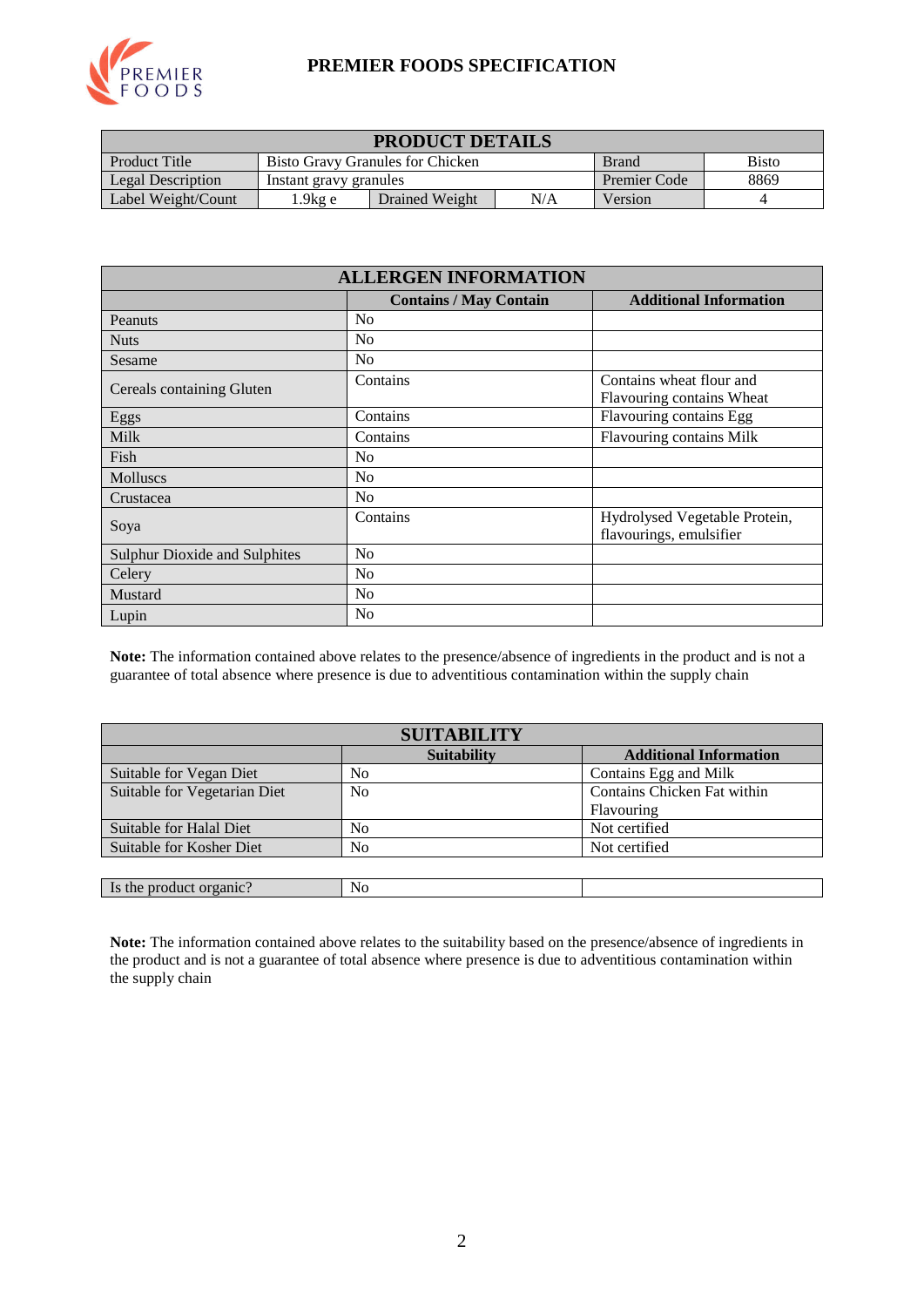

### **PREMIER FOODS SPECIFICATION**

| <b>PRODUCT DETAILS</b>                                                                          |                        |                |              |      |  |
|-------------------------------------------------------------------------------------------------|------------------------|----------------|--------------|------|--|
| <b>Bisto</b><br><b>Product Title</b><br><b>Bisto Gravy Granules for Chicken</b><br><b>Brand</b> |                        |                |              |      |  |
| Legal Description                                                                               | Instant gravy granules |                | Premier Code | 8869 |  |
| Label Weight/Count                                                                              | $1.9$ kg e             | Drained Weight | Version      |      |  |

| <b>ALLERGEN INFORMATION</b>          |                               |                                                          |  |  |  |
|--------------------------------------|-------------------------------|----------------------------------------------------------|--|--|--|
|                                      | <b>Contains / May Contain</b> | <b>Additional Information</b>                            |  |  |  |
| Peanuts                              | No                            |                                                          |  |  |  |
| <b>Nuts</b>                          | N <sub>0</sub>                |                                                          |  |  |  |
| Sesame                               | N <sub>0</sub>                |                                                          |  |  |  |
| Cereals containing Gluten            | Contains                      | Contains wheat flour and<br>Flavouring contains Wheat    |  |  |  |
| Eggs                                 | Contains                      | Flavouring contains Egg                                  |  |  |  |
| <b>Milk</b>                          | Contains                      | <b>Flavouring contains Milk</b>                          |  |  |  |
| Fish                                 | N <sub>o</sub>                |                                                          |  |  |  |
| Molluscs                             | N <sub>o</sub>                |                                                          |  |  |  |
| Crustacea                            | N <sub>0</sub>                |                                                          |  |  |  |
| Soya                                 | Contains                      | Hydrolysed Vegetable Protein,<br>flavourings, emulsifier |  |  |  |
| <b>Sulphur Dioxide and Sulphites</b> | N <sub>0</sub>                |                                                          |  |  |  |
| Celery                               | N <sub>o</sub>                |                                                          |  |  |  |
| Mustard                              | N <sub>0</sub>                |                                                          |  |  |  |
| Lupin                                | N <sub>0</sub>                |                                                          |  |  |  |

**Note:** The information contained above relates to the presence/absence of ingredients in the product and is not a guarantee of total absence where presence is due to adventitious contamination within the supply chain

| <b>SUITABILITY</b>           |                    |                               |  |  |  |
|------------------------------|--------------------|-------------------------------|--|--|--|
|                              | <b>Suitability</b> | <b>Additional Information</b> |  |  |  |
| Suitable for Vegan Diet      | N <sub>0</sub>     | Contains Egg and Milk         |  |  |  |
| Suitable for Vegetarian Diet | N <sub>0</sub>     | Contains Chicken Fat within   |  |  |  |
|                              |                    | Flavouring                    |  |  |  |
| Suitable for Halal Diet      | No                 | Not certified                 |  |  |  |
| Suitable for Kosher Diet     | No                 | Not certified                 |  |  |  |
|                              |                    |                               |  |  |  |
| Is the product organic?      | No                 |                               |  |  |  |

**Note:** The information contained above relates to the suitability based on the presence/absence of ingredients in the product and is not a guarantee of total absence where presence is due to adventitious contamination within the supply chain